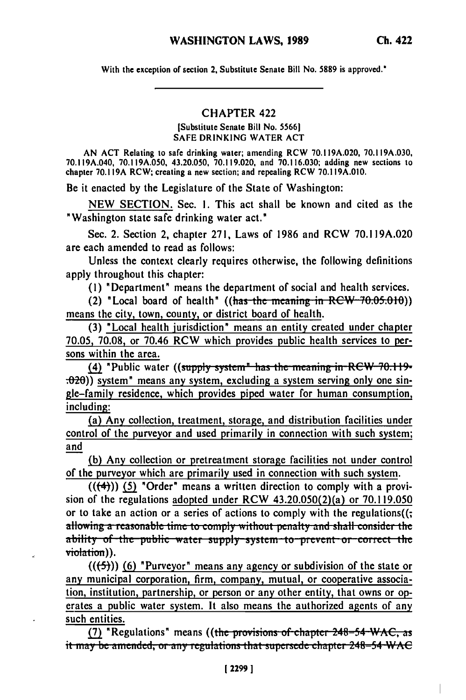**With the** exception of section **2,** Substitute Senate Bill No. **5889** is approved."

## CHAPTER 422

[Substitute Senate Bill No. **55661 SAFE DRINKING** WATER **ACT**

**AN ACT** Relating to safe drinking water; amending RCW **70.119A.020, 70.119A.030, 70.119A.040, 70.119A.050, 43.20.050, 70.119.020,** and **70.116.030;** adding new sections to chapter **70.119A** RCW; creating a new section; and repealing RCW **70.119A.010.**

Be it enacted **by** the Legislature of the State of Washington:

**NEW SECTION.** Sec. **I.** This act shall be known and cited as the "Washington state safe drinking water act."

Sec. 2. Section 2, chapter **271,** Laws of **1986** and RCW **70.119A.020** are each amended to read as follows:

Unless the context clearly requires otherwise, the following definitions apply throughout this chapter:

**(1)** "Department" means the department of social and health services.

(2) "Local board of health"  $((\text{has-the meaning in RCW-70.05.010}))$ means the city, town, county, or district board of health.

**(3)** "Local health jurisdiction" means an entity created under chapter **70.05, 70.08,** or 70.46 RCW which provides public health services to persons within the area.

(4) "Public water ((supply system" has the meaning in RCW 70.119-**.020))** system" means any system, excluding a system serving only one single-family residence, which provides piped water for human consumption, including:

(a) Any collection, treatment, storage, and distribution facilities under control of the purveyor and used primarily in connection with such system; and

**(b)** Any collection or pretreatment storage facilities not under control of the purveyor which are primarily used in connection with such system.

**(((4))) (5)** "Order" means a written direction to comply with a provision of the regulations adopted under RCW 43.20.050(2)(a) or **70.119.050** or to take an action or a series of actions to comply with the regulations((; allowing a reasonable time to comply without penalty and shall consider the ability of the public water supply system to prevent or correct the violation)).

**(((-5))) (6)** "Purveyor" means any agency or subdivision of the state or any municipal corporation, firm, company, mutual, or cooperative association, institution, partnership, or person or any other entity, that owns or operates a public water system. It also means the authorized agents of any such entities.

(7) **"Regulations"** means ((the provisions of chapter 248-54 WAC, as it may be amended, or any regulations that supersede chapter 248–54 WAC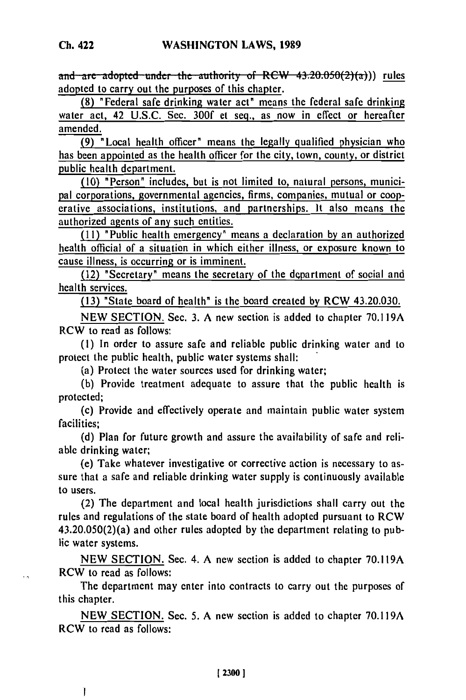and are adopted under the authority of RCW 43.20.050(2)(a))) rules adopted to carry out the purposes of this chapter.

**(8)** "Federal safe drinking water act" means the federal safe drinking water act, 42 **U.S.C.** Sec. **300f** et seq., as now in effect or hereafter amended.

**(9)** "Local health officer" means the legally qualified physician who has been appointed as the health officer for the city, town, county, or district public health department.

**(10)** "Person" includes, but is not limited to, natural persons, municipal corporations, governmental agencies, firms, companies, mutual or cooperative associations, institutions, and partnerships. It also means the authorized agents of any such entities.

**(I1)** "Public health emergency" means a declaration **by** an authorized health official of a situation in which either illness, or exposure known to cause illness, is occurring or is imminent.

(12) "Secretary" means the secretary of the department of social and health services.

**(13)** "State board of health" is the board created **by** RCW 43.20.030.

**NEW SECTION.** Sec. **3. A** new section is added to chapter **70.119A** RCW to read as follows:

**(1)** In order to assure safe and reliable public drinking water and to protect the public health, public water systems shall:

(a) Protect the water sources used for drinking water;

**(b)** Provide treatment adequate to assure that the public health is protected;

(c) Provide and effectively operate and maintain public water system facilities;

**(d)** Plan for future growth and assure the availability of safe and reliable drinking water; (e) Take whatever investigative or corrective action is necessary to as-

sure that a safe and reliable drinking water supply is continuously available sure that a safe and reliable drinking water supply is continuously available to users.

(2) The department and local health jurisdictions shall carry out the rules and regulations of the state board of health adopted pursuant to RCW 43.20.050(2)(a) and other rules adopted **by** the department relating to public water systems.

**NEW SECTION.** Sec. 4. **A** new section is added to chapter **70.119A** RCW to read as follows:

The department may enter into contracts to carry out the purposes of this chapter.

**NEW SECTION.** Sec. **5. A** new section is added to chapter **70.119A** RCW to read as follows:

Ţ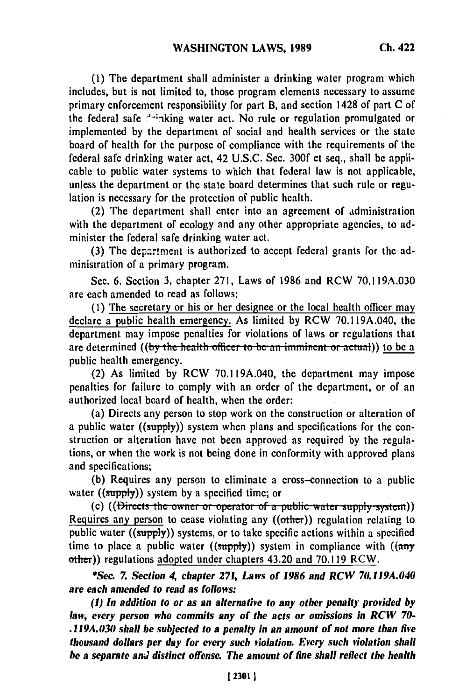**(1)** The department shall administer a drinking water program which includes, but is not limited to, those program elements necessary to assume primary enforcement responsibility for part B, and section 1428 of part **C** of the federal safe <sup>--</sup>inking water act. No rule or regulation promulgated or implemented **by** the department of social and health services or the state board of health for the purpose of compliance with the requirements of the federal safe drinking water act, 42 **U.S.C.** Sec. **300f et** seq., shall be applicable to public water systems to which that federal law is not applicable, unless the department or the stale board determines that such rule or regulation is necessary for the protection of public health.

(2) The department shall enter into an agreement of administration with the department of ecology and any other appropriate agencies, to administer the federal safe drinking water act.

**(3)** The departnment is authorized to accept federal grants for the administration of a primary program.

Sec. **6.** Section **3,** chapter **271,** Laws of **1986** and RCW **70.119A.030** are each amended to read as follows:

**(1)** The secretary or his or her designee or the local health officer may declare a public health emergency. As limited **by** RCW **70.119A.040,** the department may impose penalties for violations of laws or regulations that are determined ((by the health officer to be an imminent or actual)) to be a public health emergency.

(2) As limited by RCW 70.119A.040, the department may impose penalties for failure to comply with an order of the department, or of an authorized local board of health, when the order:

(a) Directs any person to stop work on the construction or alteration of a public water ((supply)) system when plans and specifications for the construction or alteration have not been approved as required by the regulations, or when the work is not being done in conformity with approved plans and specifications;

(b) Requires any person to eliminate a cross-connection to a public (b) induces any person to community a **((supply)**) system by a specified time; or

(c) ((Directs the owner or operator of a public water supply system)) Requires any person to cease violating any  $((other))$  regulation relating to public water ((supply)) systems, or to take specific actions within a specified time to place a public water ((supply)) system in compliance with **((any** other)) regulations adopted under chapters 43.20 and **70.119** RCW.

\*See *7. Section 4, chapter 271, Laws of 1986 and RCW 70.119A.040 are each amended to read as follows:*

*(1) In addition to or as an alternative to any other penalty provided by law, every person who commits any of the acts or omissions in RCW 70- .119A.030 shall be subjected to a penalty in an amount of not more than five thousand dollars per day for every such violation. Every such violation shall be a separate* **and** *distinct offense. The amount of fine shall reflect the health*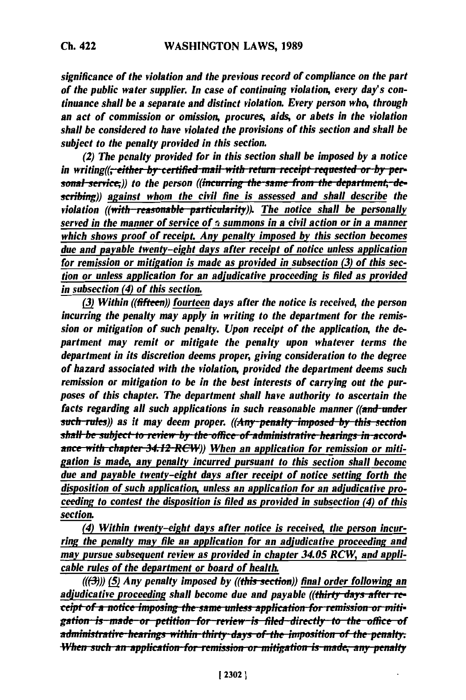*significance of the violation and the previous record of compliance on the part of the public water supplier. In case of continuing violation, every day's continuance shall be a separate and distinct violation. Every person who, through an act of commission or omission, procures, aids, or abets in the violation shall be considered to have violated the provisions of this section and shall be subject to the penalty provided in this section.*

*(2) The penalty provided for in this section shall be imposed by a notice in writing((<del>, either by certified mail with return receipt requested or by per-*</del> *sonal service*;)) to the person ((*incurring the same from the department*, *describing)) against whom the civil fine is assessed and shall describe the violation ((with reasonable particularity)). The notice shall be personally served in the manner of service of i summons in a civil action or in a manner which shows proof of receipt. Any penalty imposed by this section becomes due and payable twenty-eight days after receipt of notice unless application for remission or mitigation is made as provided in subsection (3) of this section or unless application for an adjudicative proceeding is filed as provided in subsection (4) of this section.*

**(3)** *Within ((fifteen)) fourteen days after the notice is received, the person incurring the penalty may apply in writing to the department for the remission or mitigation of such penalty. Upon receipt of the application, the department may remit or mitigate the penalty upon whatever terms the department in its discretion deems proper, giving consideration to the degree of hazard associated with the violation, provided the department deems such remission or mitigation to be in the best interests of carrying out the purposes of this chapter. The department shall have authority to ascertain the facts regarding all such applications in such reasonable manner ((and-under such-rules))* as it may deem proper. ((Any-penalty imposed by this section **shall be subject to review by the office of administrative hearings in accord**ance with chapter 34.12 RCW)) When an application for remission or miti*gation is made, any penalty incurred pursuant to this section shall become* due and payable twenty-eight days after receipt of notice setting forth the *disposition of such application, unless an application for an adjudicative proceeding to contest the disposition is filed as provided in subsection (4) of this section.*

*(4) Within twenty-eight days after notice is received, the person incur*ring the penalty may file an application for an adjudicative proceeding and may pursue subsequent review as provided in chapter 34.05 RCW, and appli*cable rules of the department or board of health.*

**(((-3))) (5)** *Any penalty imposed by ((this-section)) final order following an adjudicative proceeding shall become due and payable ((thirty days after receipt of a notice imposing the same unless application for remission or mitigation is made or petition for review is filed directly to the office of* administrative-hearings within-thirty-days of-the imposition of the-penalty. When such an application for remission or mitigation is made, any penalty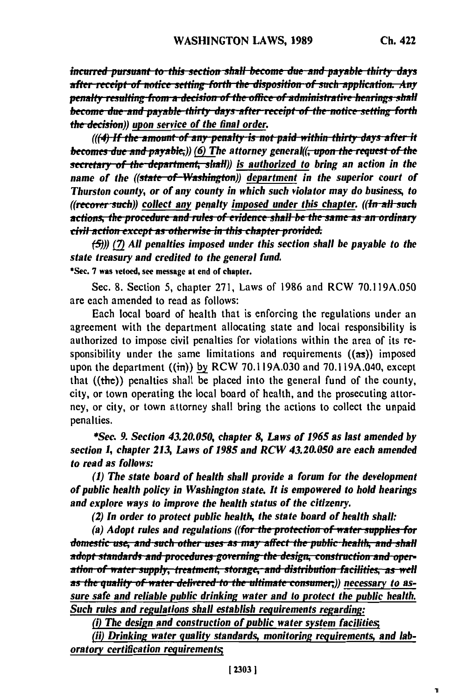h,

incurred pursuant to this section shall become due and payable thirty days after receipt of notice setting forth the disposition of such application. Any penalty resulting from a decision of the office of administrative hearings shall become due and payable thirty days after receipt of the notice setting forth the decision)) upon service of the final order.

(((4) If the amount of any penalty is not paid within thirty days after it becomes due and payable;)) (6) The attorney general((<del>, upon the request of the</del> secretary of the department, shall)) is authorized to bring an action in the name of the ((state of Washington)) department in the superior court of Thurston county, or of any county in which such violator may do business, to ((recover such)) collect any penalty imposed under this chapter. ((In all such actions, the procedure and rules of evidence shall be the same as an ordinary civil action except as otherwise in this chapter provided.

 $(5)$ )) (7) All penalties imposed under this section shall be payable to the state treasury and credited to the general fund.

\*Sec. 7 was vetoed, see message at end of chapter.

Sec. 8. Section 5, chapter 271, Laws of 1986 and RCW 70.119A.050 are each amended to read as follows:

Each local board of health that is enforcing the regulations under an agreement with the department allocating state and local responsibility is authorized to impose civil penalties for violations within the area of its responsibility under the same limitations and requirements  $((a\pi))$  imposed upon the department ((in)) by RCW 70.119A.030 and 70.119A.040, except that  $((the))$  penalties shall be placed into the general fund of the county, city, or town operating the local board of health, and the prosecuting attorney, or city, or town attorney shall bring the actions to collect the unpaid penalties.

\*Sec. 9. Section 43.20.050, chapter 8, Laws of 1965 as last amended by section 1, chapter 213, Laws of 1985 and RCW 43.20.050 are each amended to read as follows:

(1) The state board of health shall provide a forum for the development of public health policy in Washington state. It is empowered to hold hearings and explore ways to improve the health status of the citizenry.

(2) In order to protect public health, the state board of health shall:

(a) Adopt rules and regulations ((for the protection of water supplies for domestic use, and such other uses as may affect the public health, and shall adopt standards and procedures governing the design, construction and operation of water supply, treatment, storage, and distribution facilities, as well as the quality of water delivered to the ultimate consumer;)) necessary to assure safe and reliable public drinking water and to protect the public health. Such rules and regulations shall establish requirements regarding:

(i) The design and construction of public water system facilities;

(ii) Drinking water quality standards, monitoring requirements, and laboratory certification requirements;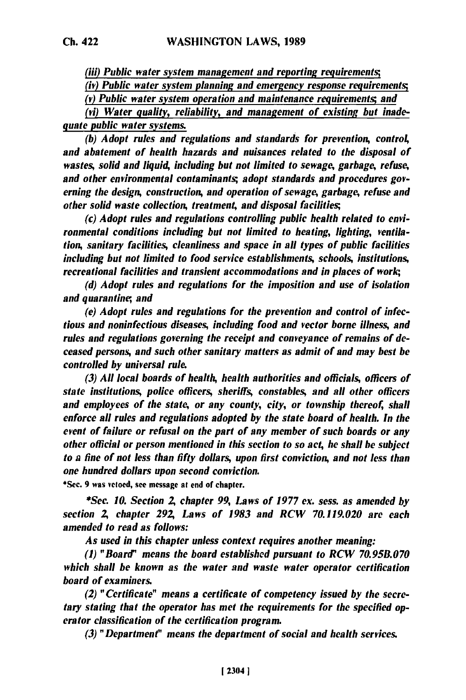*(iii) Public water system management and reporting requirements;*

*(iv) Public water system planning and emergency response requirements;*

*(v) Public water system operation and maintenance requirements; and*

*(vi) Water quality, reliability, and management of existing but inadequate public water systems.*

*(b) Adopt rules and regulations and standards for prevention, control and abatement of health hazards and nuisances related to the disposal of wastes, solid and liquid, including but not limited to sewage, garbage, refuse, and other environmental contaminants; adopt standards and procedures governing the design, construction, and operation of sewage, garbage, refuse and other solid waste collection, treatment, and disposal facilities;*

(c) *Adopt rules and regulations controlling public health related to environmental conditions including but not limited to heating, lighting, ventilation, sanitary facilities, cleanliness and space in all types of public facilities including but not limited to food service establishments, schools, institutions, recreational facilities and transient accommodations and in places of work,*

*(d) Adopt rules and regulations for the imposition and use of isolation and quarantine;, and*

*(e) Adopt rules and regulations for the prevention and control of infectious and noninfectious diseases, including food and vector borne illness, and* rules and regulations governing the receipt and conveyance of remains of de*ceased persons, and such other sanitary matters as admit of and may best be controlled by universal rule.*

*(3) All local boards of health, health authorities and officials, officers of state institutions, police officers, sheriffs, constables, and all other officers and employees of the state, or any county, city, or township thereof, shall enforce all rules and regulations adopted by the state board of health. In the event of failure or refusal on the part of any member of such boards or any other official or person mentioned in this section to so act, he shall he subject to a fine of not less than fifty dollars, upon first conviction, and not less than one hundred dollars upon second conviction.*

\*Sec. **9** was vetoed, see message **at** end of chapter.

*\*Sec. 10. Section A chapter 99, Laws of 1977 ex. sess. as amended by section A chapter 292, Laws of 1983 and RCW 70.119.020 are each amended to read as follows:*

*As used in this chapter unless context requires another meaning:*

*(1) "Board" means the board established pursuant to RCW 70.95B.070 which shall be known as the water and waste water operator certification board of examiners.*

*(2) "Certificate" means a certificate of competency issued by the secretary stating that the operator has met the requirements for the specified operator classification of the certification program.*

*(3) "Department" means the department of social and health services.*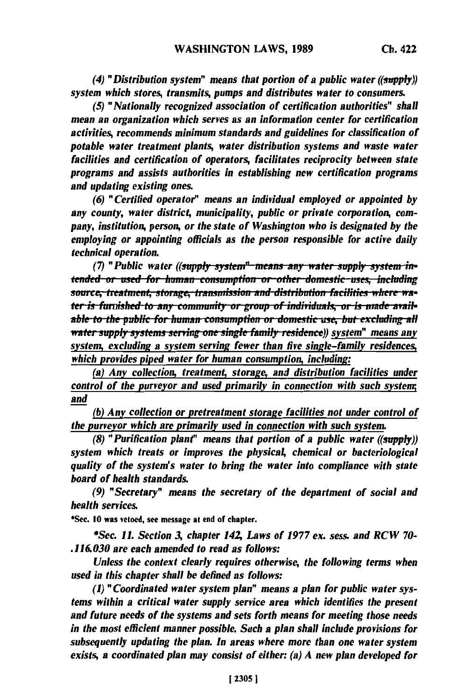*(4) "Distribution system" means that portion of a public water ((supply)) system which stores, transmits, pumps and distributes water to consumers.*

*(5) "Nationally recognized association of certification authorities" shall mean an organization which serves as an information center for certification activities, recommends minimum standards and guidelines for classification of potable water treatment plants, water distribution systems and waste water facilities and certification of operators, facilitates reciprocity between state programs and assists authorities in establishing new certification programs and updating existing ones.*

*(6) "Certified operator" means an individual employed or appointed by* any county, water district, municipality, public or private corporation, com*pany, institution, person, or the state of Washington who is designated by the employing or appointing officials as the person responsible for active daily technical operation.*

*(7)* "Public water *((supply system*" *means any water supply system in*tended or used for human consumption or other domestic uses, including source, treatment, storage, transmission and distribution facilities where wa*able to the puthished to any community or group of individuals, or is made available to the public for human consumption or domestic use, but excluding all ater supply systems serving one single family residence)) system" means any system, excluding a system serving fewer than five single-family residences, which provides piped water for human consumption, including:*

(a) Any collection, treatment, storage, and distribution facilities under *control of the purveyor and used primarily in connection with such systenm; and*

**(b)** *Any collection or pretreatment storage facilities not under control of the purveyor which are primarily used in connection with such system.*

*(8) "Purification plant" means that portion of a public water ((supply)) system which treats or improves the physical, chemical or bacteriological quality of the system's water to bring the water into compliance with state board of health standards.*

*(9) "Secretary" means the secretary of the department of social and health services.*

\*Sec. **10** was vetoed, see message **at** end **of** chapter.

**\*Sec.** *11. Section 3, chapter* **142** *Laws of 1977 ex. sess. and RCW 70- .116.030 are each amended to read as follows:*

*Unless the context clearly requires otherwise, the following terms when used in this chapter shall be defined as follows:*

**(1)** *"Coordinated water system plan" means a plan for public water systems within a critical water supply service area which identifies the present and future needs of the systems and sets forth means for meeting those needs in the most efficient manner possible. Such a plan shall include provisions for subsequently updating the plan. In areas where more than one water system exists, a coordinated plan may consist of either: (a) A new plan developed for*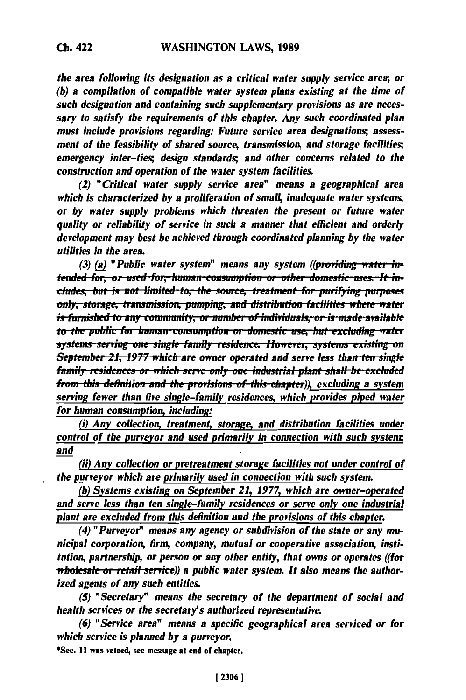the area following its designation as a critical water supply service area; or (b) a compilation of compatible water system plans existing at the time of such designation and containing such supplementary provisions as are necessary to satisfy the requirements of this chapter. Any such coordinated plan must include provisions regarding: Future service area designations; assessment of the feasibility of shared source, transmission, and storage facilities; emergency inter-ties, design standards, and other concerns related to the construction and operation of the water system facilities.

(2) "Critical water supply service area" means a geographical area which is characterized by a proliferation of small, inadequate water systems, or by water supply problems which threaten the present or future water quality or reliability of service in such a manner that efficient and orderly development may best be achieved through coordinated planning by the water utilities in the area.

(3) (a) "Public water system" means any system ((providing water intended for, or used for, human consumption or other domestic uses, It includes, but is not limited-to, the source, treatment for purifying-purposes only, storage, transmission, pumping, and distribution facilities where water is furnished to any community, or number of individuals, or is made available to the public for human-consumption or domestic use, but excluding water systems-serving one single family residence. However, systems existing on September 21, 1977 which are owner operated and serve less than ten single family residences or which serve only one industrial plant shall be excluded from this definition and the provisions of this chapter)), excluding a system serving fewer than five single-family residences, which provides piped water for human consumption, including:

(i) Any collection, treatment, storage, and distribution facilities under control of the purveyor and used primarily in connection with such system; and

(ii) Any collection or pretreatment storage facilities not under control of the purveyor which are primarily used in connection with such system.

(b) Systems existing on September 21, 1977, which are owner-operated and serve less than ten single-family residences or serve only one industrial plant are excluded from this definition and the provisions of this chapter.

(4) "Purveyor" means any agency or subdivision of the state or any municipal corporation, firm, company, mutual or cooperative association, institution, partnership, or person or any other entity, that owns or operates ((for wholesale or retail service)) a public water system. It also means the authorized agents of any such entities.

(5) "Secretary" means the secretary of the department of social and health services or the secretary's authorized representative.

(6) "Service area" means a specific geographical area serviced or for which service is planned by a purveyor.

\*Sec. 11 was vetoed, see message at end of chapter.